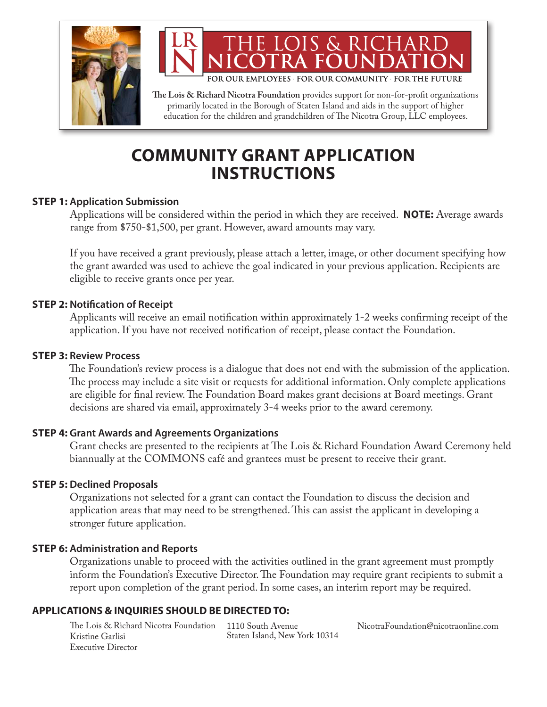

FOR OUR EMPLOYEES FOR OUR COMMUNITY FOR THE FUTURE

THE LOIS & RICHARI

**The Lois & Richard Nicotra Foundation** provides support for non-for-profit organizations primarily located in the Borough of Staten Island and aids in the support of higher education for the children and grandchildren of The Nicotra Group, LLC employees.

## **COMMUNITY GRANT APPLICATION INSTRUCTIONS**

## **STEP 1: Application Submission**

 Applications will be considered within the period in which they are received. **NOTE:** Average awards range from \$750-\$1,500, per grant. However, award amounts may vary.

 If you have received a grant previously, please attach a letter, image, or other document specifying how the grant awarded was used to achieve the goal indicated in your previous application. Recipients are eligible to receive grants once per year.

## **STEP 2: Notification of Receipt**

 Applicants will receive an email notification within approximately 1-2 weeks confirming receipt of the application. If you have not received notification of receipt, please contact the Foundation.

## **STEP 3: Review Process**

 The Foundation's review process is a dialogue that does not end with the submission of the application. The process may include a site visit or requests for additional information. Only complete applications are eligible for final review. The Foundation Board makes grant decisions at Board meetings. Grant decisions are shared via email, approximately 3-4 weeks prior to the award ceremony.

## **STEP 4: Grant Awards and Agreements Organizations**

 Grant checks are presented to the recipients at The Lois & Richard Foundation Award Ceremony held biannually at the COMMONS café and grantees must be present to receive their grant.

#### **STEP 5: Declined Proposals**

 Organizations not selected for a grant can contact the Foundation to discuss the decision and application areas that may need to be strengthened. This can assist the applicant in developing a stronger future application.

#### **STEP 6: Administration and Reports**

 Organizations unable to proceed with the activities outlined in the grant agreement must promptly inform the Foundation's Executive Director. The Foundation may require grant recipients to submit a report upon completion of the grant period. In some cases, an interim report may be required.

## **APPLICATIONS & INQUIRIES SHOULD BE DIRECTED TO:**

The Lois & Richard Nicotra Foundation 1110 South Avenue Kristine Garlisi Executive Director

Staten Island, New York 10314

NicotraFoundation@nicotraonline.com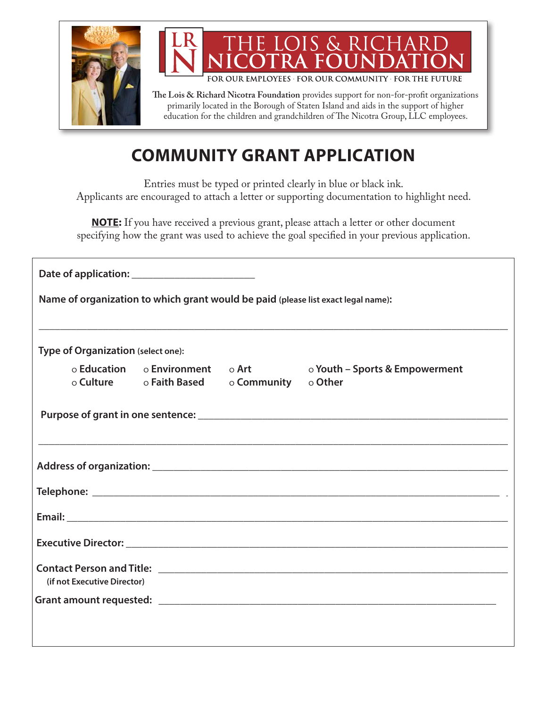



FOR OUR EMPLOYEES FOR OUR COMMUNITY FOR THE FUTURE

**The Lois & Richard Nicotra Foundation** provides support for non-for-profit organizations primarily located in the Borough of Staten Island and aids in the support of higher education for the children and grandchildren of The Nicotra Group, LLC employees.

# **COMMUNITY GRANT APPLICATION**

Entries must be typed or printed clearly in blue or black ink. Applicants are encouraged to attach a letter or supporting documentation to highlight need.

**NOTE:** If you have received a previous grant, please attach a letter or other document specifying how the grant was used to achieve the goal specified in your previous application.

| Name of organization to which grant would be paid (please list exact legal name): |                                             |                                                                                   |
|-----------------------------------------------------------------------------------|---------------------------------------------|-----------------------------------------------------------------------------------|
| Type of Organization (select one):                                                |                                             | ,我们也不能在这里的时候,我们也不能在这里的时候,我们也不能在这里的时候,我们也不能会在这里的时候,我们也不能会在这里的时候,我们也不能会在这里的时候,我们也不能 |
|                                                                                   | o Culture o Faith Based o Community o Other | o Education o Environment o Art o Youth - Sports & Empowerment                    |
|                                                                                   |                                             |                                                                                   |
|                                                                                   |                                             |                                                                                   |
|                                                                                   |                                             |                                                                                   |
|                                                                                   |                                             |                                                                                   |
|                                                                                   |                                             |                                                                                   |
|                                                                                   |                                             |                                                                                   |
| (if not Executive Director)                                                       |                                             |                                                                                   |
|                                                                                   |                                             |                                                                                   |
|                                                                                   |                                             |                                                                                   |
|                                                                                   |                                             |                                                                                   |